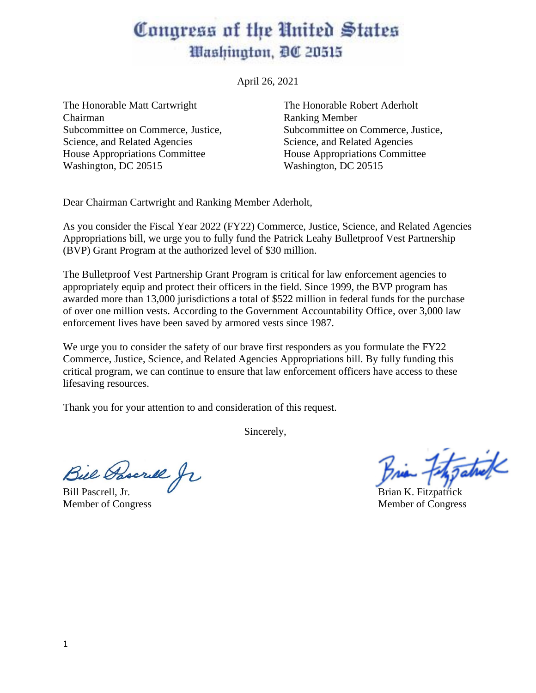## Congress of the United States *Mashington, DC 20515*

April 26, 2021

The Honorable Matt Cartwright The Honorable Robert Aderholt Chairman Ranking Member Subcommittee on Commerce, Justice, Subcommittee on Commerce, Justice, Science, and Related Agencies Science, and Related Agencies House Appropriations Committee House Appropriations Committee Washington, DC 20515 Washington, DC 20515

Dear Chairman Cartwright and Ranking Member Aderholt,

As you consider the Fiscal Year 2022 (FY22) Commerce, Justice, Science, and Related Agencies Appropriations bill, we urge you to fully fund the Patrick Leahy Bulletproof Vest Partnership (BVP) Grant Program at the authorized level of \$30 million.

The Bulletproof Vest Partnership Grant Program is critical for law enforcement agencies to appropriately equip and protect their officers in the field. Since 1999, the BVP program has awarded more than 13,000 jurisdictions a total of \$522 million in federal funds for the purchase of over one million vests. According to the Government Accountability Office, over 3,000 law enforcement lives have been saved by armored vests since 1987.

We urge you to consider the safety of our brave first responders as you formulate the FY22 Commerce, Justice, Science, and Related Agencies Appropriations bill. By fully funding this critical program, we can continue to ensure that law enforcement officers have access to these lifesaving resources.

Thank you for your attention to and consideration of this request.

Sincerely,

Bill Pascrell, Jr. Brian K. Fitzpatrick

Brian Fitzgatul

Member of Congress Member of Congress